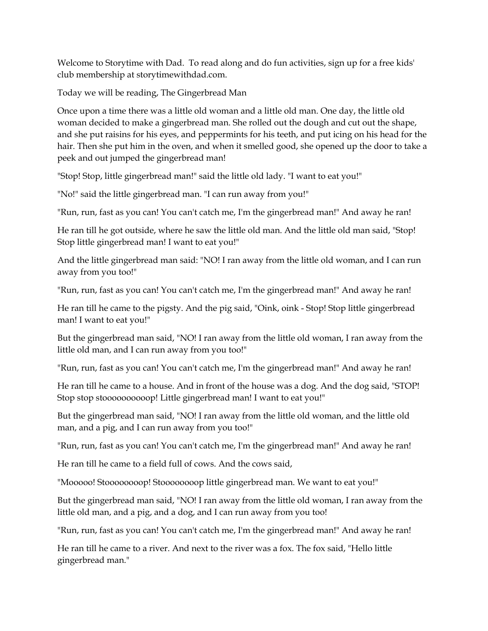Welcome to Storytime with Dad. To read along and do fun activities, sign up for a free kids' club membership at storytimewithdad.com.

Today we will be reading, The Gingerbread Man

Once upon a time there was a little old woman and a little old man. One day, the little old woman decided to make a gingerbread man. She rolled out the dough and cut out the shape, and she put raisins for his eyes, and peppermints for his teeth, and put icing on his head for the hair. Then she put him in the oven, and when it smelled good, she opened up the door to take a peek and out jumped the gingerbread man!

"Stop! Stop, little gingerbread man!" said the little old lady. "I want to eat you!"

"No!" said the little gingerbread man. "I can run away from you!"

"Run, run, fast as you can! You can't catch me, I'm the gingerbread man!" And away he ran!

He ran till he got outside, where he saw the little old man. And the little old man said, "Stop! Stop little gingerbread man! I want to eat you!"

And the little gingerbread man said: "NO! I ran away from the little old woman, and I can run away from you too!"

"Run, run, fast as you can! You can't catch me, I'm the gingerbread man!" And away he ran!

He ran till he came to the pigsty. And the pig said, "Oink, oink - Stop! Stop little gingerbread man! I want to eat you!"

But the gingerbread man said, "NO! I ran away from the little old woman, I ran away from the little old man, and I can run away from you too!"

"Run, run, fast as you can! You can't catch me, I'm the gingerbread man!" And away he ran!

He ran till he came to a house. And in front of the house was a dog. And the dog said, "STOP! Stop stop stoooooooooop! Little gingerbread man! I want to eat you!"

But the gingerbread man said, "NO! I ran away from the little old woman, and the little old man, and a pig, and I can run away from you too!"

"Run, run, fast as you can! You can't catch me, I'm the gingerbread man!" And away he ran!

He ran till he came to a field full of cows. And the cows said,

"Mooooo! Stoooooooop! Stoooooooop little gingerbread man. We want to eat you!"

But the gingerbread man said, "NO! I ran away from the little old woman, I ran away from the little old man, and a pig, and a dog, and I can run away from you too!

"Run, run, fast as you can! You can't catch me, I'm the gingerbread man!" And away he ran!

He ran till he came to a river. And next to the river was a fox. The fox said, "Hello little gingerbread man."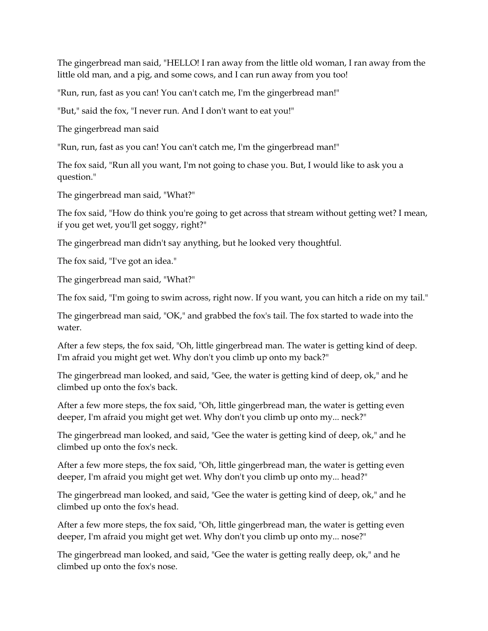The gingerbread man said, "HELLO! I ran away from the little old woman, I ran away from the little old man, and a pig, and some cows, and I can run away from you too!

"Run, run, fast as you can! You can't catch me, I'm the gingerbread man!"

"But," said the fox, "I never run. And I don't want to eat you!"

The gingerbread man said

"Run, run, fast as you can! You can't catch me, I'm the gingerbread man!"

The fox said, "Run all you want, I'm not going to chase you. But, I would like to ask you a question."

The gingerbread man said, "What?"

The fox said, "How do think you're going to get across that stream without getting wet? I mean, if you get wet, you'll get soggy, right?"

The gingerbread man didn't say anything, but he looked very thoughtful.

The fox said, "I've got an idea."

The gingerbread man said, "What?"

The fox said, "I'm going to swim across, right now. If you want, you can hitch a ride on my tail."

The gingerbread man said, "OK," and grabbed the fox's tail. The fox started to wade into the water.

After a few steps, the fox said, "Oh, little gingerbread man. The water is getting kind of deep. I'm afraid you might get wet. Why don't you climb up onto my back?"

The gingerbread man looked, and said, "Gee, the water is getting kind of deep, ok," and he climbed up onto the fox's back.

After a few more steps, the fox said, "Oh, little gingerbread man, the water is getting even deeper, I'm afraid you might get wet. Why don't you climb up onto my... neck?"

The gingerbread man looked, and said, "Gee the water is getting kind of deep, ok," and he climbed up onto the fox's neck.

After a few more steps, the fox said, "Oh, little gingerbread man, the water is getting even deeper, I'm afraid you might get wet. Why don't you climb up onto my... head?"

The gingerbread man looked, and said, "Gee the water is getting kind of deep, ok," and he climbed up onto the fox's head.

After a few more steps, the fox said, "Oh, little gingerbread man, the water is getting even deeper, I'm afraid you might get wet. Why don't you climb up onto my... nose?"

The gingerbread man looked, and said, "Gee the water is getting really deep, ok," and he climbed up onto the fox's nose.